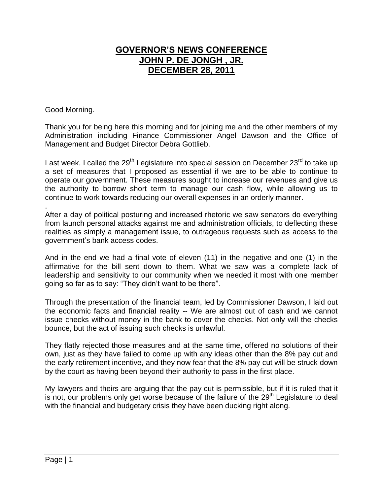## **GOVERNOR'S NEWS CONFERENCE JOHN P. DE JONGH , JR. DECEMBER 28, 2011**

Good Morning.

Thank you for being here this morning and for joining me and the other members of my Administration including Finance Commissioner Angel Dawson and the Office of Management and Budget Director Debra Gottlieb.

Last week, I called the  $29<sup>th</sup>$  Legislature into special session on December  $23<sup>rd</sup>$  to take up a set of measures that I proposed as essential if we are to be able to continue to operate our government. These measures sought to increase our revenues and give us the authority to borrow short term to manage our cash flow, while allowing us to continue to work towards reducing our overall expenses in an orderly manner.

. After a day of political posturing and increased rhetoric we saw senators do everything from launch personal attacks against me and administration officials, to deflecting these realities as simply a management issue, to outrageous requests such as access to the government's bank access codes.

And in the end we had a final vote of eleven (11) in the negative and one (1) in the affirmative for the bill sent down to them. What we saw was a complete lack of leadership and sensitivity to our community when we needed it most with one member going so far as to say: "They didn't want to be there".

Through the presentation of the financial team, led by Commissioner Dawson, I laid out the economic facts and financial reality -- We are almost out of cash and we cannot issue checks without money in the bank to cover the checks. Not only will the checks bounce, but the act of issuing such checks is unlawful.

They flatly rejected those measures and at the same time, offered no solutions of their own, just as they have failed to come up with any ideas other than the 8% pay cut and the early retirement incentive, and they now fear that the 8% pay cut will be struck down by the court as having been beyond their authority to pass in the first place.

My lawyers and theirs are arguing that the pay cut is permissible, but if it is ruled that it is not, our problems only get worse because of the failure of the  $29<sup>th</sup>$  Legislature to deal with the financial and budgetary crisis they have been ducking right along.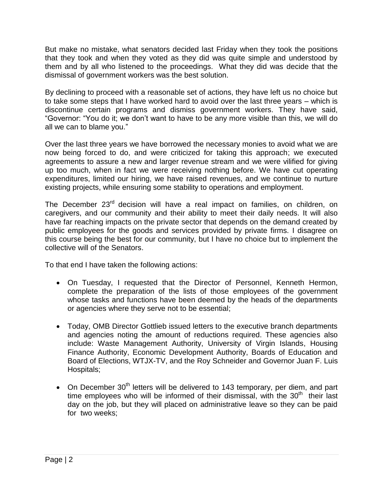But make no mistake, what senators decided last Friday when they took the positions that they took and when they voted as they did was quite simple and understood by them and by all who listened to the proceedings. What they did was decide that the dismissal of government workers was the best solution.

By declining to proceed with a reasonable set of actions, they have left us no choice but to take some steps that I have worked hard to avoid over the last three years – which is discontinue certain programs and dismiss government workers. They have said, "Governor: "You do it; we don't want to have to be any more visible than this, we will do all we can to blame you."

Over the last three years we have borrowed the necessary monies to avoid what we are now being forced to do, and were criticized for taking this approach; we executed agreements to assure a new and larger revenue stream and we were vilified for giving up too much, when in fact we were receiving nothing before. We have cut operating expenditures, limited our hiring, we have raised revenues, and we continue to nurture existing projects, while ensuring some stability to operations and employment.

The December 23<sup>rd</sup> decision will have a real impact on families, on children, on caregivers, and our community and their ability to meet their daily needs. It will also have far reaching impacts on the private sector that depends on the demand created by public employees for the goods and services provided by private firms. I disagree on this course being the best for our community, but I have no choice but to implement the collective will of the Senators.

To that end I have taken the following actions:

- On Tuesday, I requested that the Director of Personnel, Kenneth Hermon, complete the preparation of the lists of those employees of the government whose tasks and functions have been deemed by the heads of the departments or agencies where they serve not to be essential;
- Today, OMB Director Gottlieb issued letters to the executive branch departments and agencies noting the amount of reductions required. These agencies also include: Waste Management Authority, University of Virgin Islands, Housing Finance Authority, Economic Development Authority, Boards of Education and Board of Elections, WTJX-TV, and the Roy Schneider and Governor Juan F. Luis Hospitals;
- On December 30<sup>th</sup> letters will be delivered to 143 temporary, per diem, and part time employees who will be informed of their dismissal, with the  $30<sup>th</sup>$  their last day on the job, but they will placed on administrative leave so they can be paid for two weeks;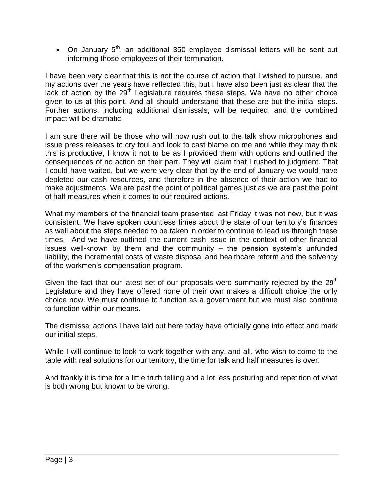• On January  $5<sup>th</sup>$ , an additional 350 employee dismissal letters will be sent out informing those employees of their termination.

I have been very clear that this is not the course of action that I wished to pursue, and my actions over the years have reflected this, but I have also been just as clear that the lack of action by the  $29<sup>th</sup>$  Legislature requires these steps. We have no other choice given to us at this point. And all should understand that these are but the initial steps. Further actions, including additional dismissals, will be required, and the combined impact will be dramatic.

I am sure there will be those who will now rush out to the talk show microphones and issue press releases to cry foul and look to cast blame on me and while they may think this is productive, I know it not to be as I provided them with options and outlined the consequences of no action on their part. They will claim that I rushed to judgment. That I could have waited, but we were very clear that by the end of January we would have depleted our cash resources, and therefore in the absence of their action we had to make adjustments. We are past the point of political games just as we are past the point of half measures when it comes to our required actions.

What my members of the financial team presented last Friday it was not new, but it was consistent. We have spoken countless times about the state of our territory's finances as well about the steps needed to be taken in order to continue to lead us through these times. And we have outlined the current cash issue in the context of other financial issues well-known by them and the community – the pension system's unfunded liability, the incremental costs of waste disposal and healthcare reform and the solvency of the workmen's compensation program.

Given the fact that our latest set of our proposals were summarily rejected by the  $29<sup>th</sup>$ Legislature and they have offered none of their own makes a difficult choice the only choice now. We must continue to function as a government but we must also continue to function within our means.

The dismissal actions I have laid out here today have officially gone into effect and mark our initial steps.

While I will continue to look to work together with any, and all, who wish to come to the table with real solutions for our territory, the time for talk and half measures is over.

And frankly it is time for a little truth telling and a lot less posturing and repetition of what is both wrong but known to be wrong.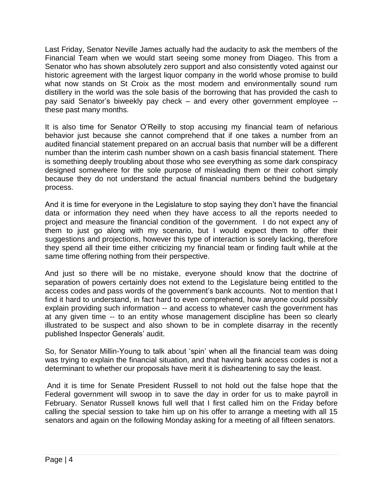Last Friday, Senator Neville James actually had the audacity to ask the members of the Financial Team when we would start seeing some money from Diageo. This from a Senator who has shown absolutely zero support and also consistently voted against our historic agreement with the largest liquor company in the world whose promise to build what now stands on St Croix as the most modern and environmentally sound rum distillery in the world was the sole basis of the borrowing that has provided the cash to pay said Senator's biweekly pay check – and every other government employee - these past many months.

It is also time for Senator O'Reilly to stop accusing my financial team of nefarious behavior just because she cannot comprehend that if one takes a number from an audited financial statement prepared on an accrual basis that number will be a different number than the interim cash number shown on a cash basis financial statement. There is something deeply troubling about those who see everything as some dark conspiracy designed somewhere for the sole purpose of misleading them or their cohort simply because they do not understand the actual financial numbers behind the budgetary process.

And it is time for everyone in the Legislature to stop saying they don't have the financial data or information they need when they have access to all the reports needed to project and measure the financial condition of the government. I do not expect any of them to just go along with my scenario, but I would expect them to offer their suggestions and projections, however this type of interaction is sorely lacking, therefore they spend all their time either criticizing my financial team or finding fault while at the same time offering nothing from their perspective.

And just so there will be no mistake, everyone should know that the doctrine of separation of powers certainly does not extend to the Legislature being entitled to the access codes and pass words of the government's bank accounts. Not to mention that I find it hard to understand, in fact hard to even comprehend, how anyone could possibly explain providing such information -- and access to whatever cash the government has at any given time -- to an entity whose management discipline has been so clearly illustrated to be suspect and also shown to be in complete disarray in the recently published Inspector Generals' audit.

So, for Senator Millin-Young to talk about 'spin' when all the financial team was doing was trying to explain the financial situation, and that having bank access codes is not a determinant to whether our proposals have merit it is disheartening to say the least.

And it is time for Senate President Russell to not hold out the false hope that the Federal government will swoop in to save the day in order for us to make payroll in February. Senator Russell knows full well that I first called him on the Friday before calling the special session to take him up on his offer to arrange a meeting with all 15 senators and again on the following Monday asking for a meeting of all fifteen senators.